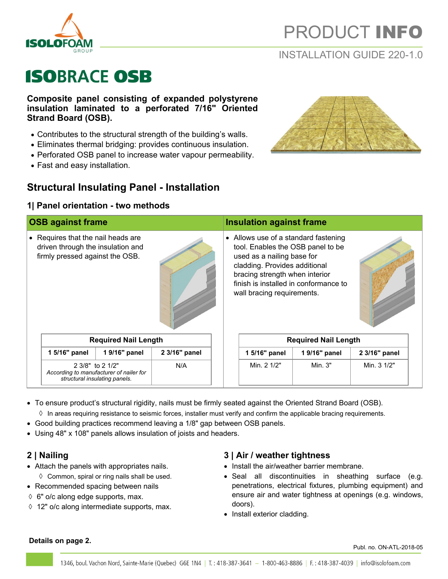

# PRODUCT INFO

## INSTALLATION GUIDE 220-1.0

# **ISOBRACE OSB**

**Composite panel consisting of expanded polystyrene insulation laminated to a perforated 7/16" Oriented Strand Board (OSB).**

- Contributes to the structural strength of the building's walls.
- Eliminates thermal bridging: provides continuous insulation.
- Perforated OSB panel to increase water vapour permeability.
- Fast and easy installation.

## **Structural Insulating Panel - Installation**

### **1| Panel orientation - two methods**



- To ensure product's structural rigidity, nails must be firmly seated against the Oriented Strand Board (OSB).
	- $\Diamond$  In areas requiring resistance to seismic forces, installer must verify and confirm the applicable bracing requirements.
- Good building practices recommend leaving a 1/8" gap between OSB panels.
- Using 48" x 108" panels allows insulation of joists and headers.

## **2 | Nailing**

- Attach the panels with appropriates nails.
- $\Diamond$  Common, spiral or ring nails shall be used.
- Recommended spacing between nails
- $6$ " o/c along edge supports, max.
- 12" o/c along intermediate supports, max.

## **3 | Air / weather tightness**

- Install the air/weather barrier membrane.
- Seal all discontinuities in sheathing surface (e.g. penetrations, electrical fixtures, plumbing equipment) and ensure air and water tightness at openings (e.g. windows, doors).
- Install exterior cladding.

### **Details on page 2.**

Publ. no. ON-ATL-2018-05